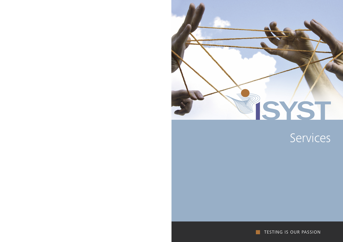

# Services

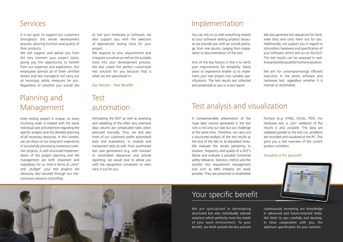#### Implementation

We are specialized in developing structured but also individually tailored solutions which perfectly meet the needs of your work environment. To your benefit, we think outside the box and are

### Test analysis and visualization

continuously increasing our knowledge in advanced and future-oriented fields. We listen to you carefully and develop, in close cooperation with you, the optimum specification for your solution.

You can rely on us with everything related to your software testing projects because we provide you with an overall package from one source, ranging from preparation to documentation of the test.

> We aim for uncompromisingly efficient execution in the entire software and hardware test, regardless whether it is manual or automated.

One of the key factors in this is to verify your requirements for testability. Many years of experience enable us to implement your test project into suitable specifications. The test results are collected and presented to you in a test report.

We also generate test sequences for hardware tests and carry them out for you. Additionally, we support you in regard to stimulation hardware and specification of your software, which will run on the DUT. The test results can be assessed in realtime and will be saved for further evaluation.

We respond to your requirements and integrate ourselves as well as the suitable tools into your development process. We also create the perfect customized test solution for you because that is what we are specialized in.

Our Passion - Your Benefit!

A comprehensible presentation of the huge data volume generated in the test runs is not only our task but our challenge at the same time. Therefore, we carry out a structured analysis of the test results at the end of the test or at stipulated times. We evaluate the results pertaining to location, frequency and quality of a DUT's failure and evaluate a possible functional safety relevance. Statistics, metrics and the transfer into requirement management tool such as MKS Integrity are easily possible. They are presented in established



### Your specific benefit

formats (e.g. HTML, EXCEL, PDF). For hardware test, a "live" validation of the results is also possible. The data are validated parallel to the test run, problems are recorded and visualized at the PC. This gives you a fast overview of the current product condition.

#### Visualize it for yourself!



#### Services

## Planning and Management

### Test automation

It is our goal, to support our customers throughout the whole development process, assuring function and quality of their products.

We will support and advise you from the very moment your project starts, giving you the opportunity to benefit from our expertise and experience. Our employees (almost all of them certified testers and test managers) will carry out all necessary safety measures for you. Regardless of whether you would like

to test your hardware or software, we also support you with the selection of appropriate testing tools for your project.

Every testing project is unique, so every incoming order is treated with the same individual care and attention regarding the specific analysis and the detailed planning of all necessary resources. In this context, we can draw on our long-term experience in successfully processing numerous customer projects. A well-structured implementation of the project planning and the management are both important and mandatory for us. And in terms of "time" and "budget" your test projects are obviously also secured through our riskconscious resource controlling.

Stimulating the DUT as well as assessing and validating of the often very extensive data volume are complicated tasks when executed manually. Thus, we and also most of our customers prefer automated tests and evaluations, in module and component tests as well. From automated test case generations (e.g. with Autosar) to automated sequences and precise reporting, we would love to advise you with the equipment conversion or even carry it out for you.